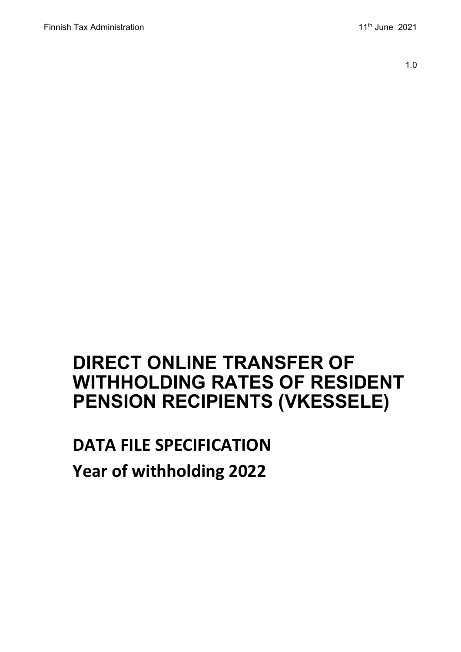1.0

## **DIRECT ONLINE TRANSFER OF WITHHOLDING RATES OF RESIDENT PENSION RECIPIENTS (VKESSELE)**

# **DATA FILE SPECIFICATION Year of withholding 2022**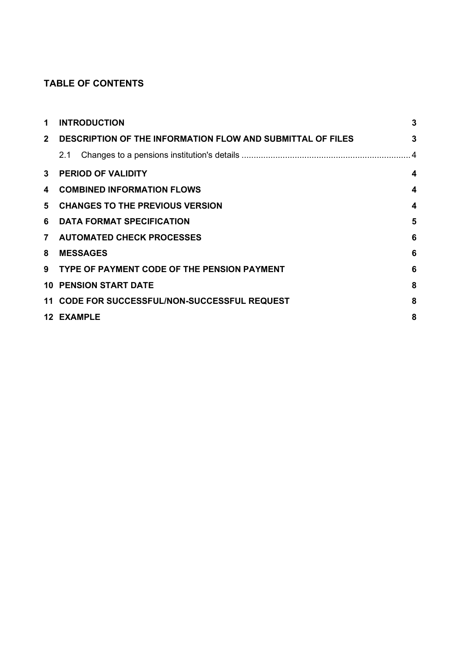## **TABLE OF CONTENTS**

| 1  | <b>INTRODUCTION</b>                                          | 3                       |
|----|--------------------------------------------------------------|-------------------------|
|    | 2 DESCRIPTION OF THE INFORMATION FLOW AND SUBMITTAL OF FILES | 3                       |
|    | 2.1                                                          |                         |
| 3  | <b>PERIOD OF VALIDITY</b>                                    | $\boldsymbol{4}$        |
| 4  | <b>COMBINED INFORMATION FLOWS</b>                            | $\overline{\mathbf{4}}$ |
| 5. | <b>CHANGES TO THE PREVIOUS VERSION</b>                       | 4                       |
| 6  | <b>DATA FORMAT SPECIFICATION</b>                             | 5                       |
|    | 7 AUTOMATED CHECK PROCESSES                                  | 6                       |
| 8  | <b>MESSAGES</b>                                              | 6                       |
|    | 9 TYPE OF PAYMENT CODE OF THE PENSION PAYMENT                | 6                       |
|    | <b>10 PENSION START DATE</b>                                 | 8                       |
|    | 11 CODE FOR SUCCESSFUL/NON-SUCCESSFUL REQUEST                | 8                       |
|    | <b>12 EXAMPLE</b>                                            | 8                       |
|    |                                                              |                         |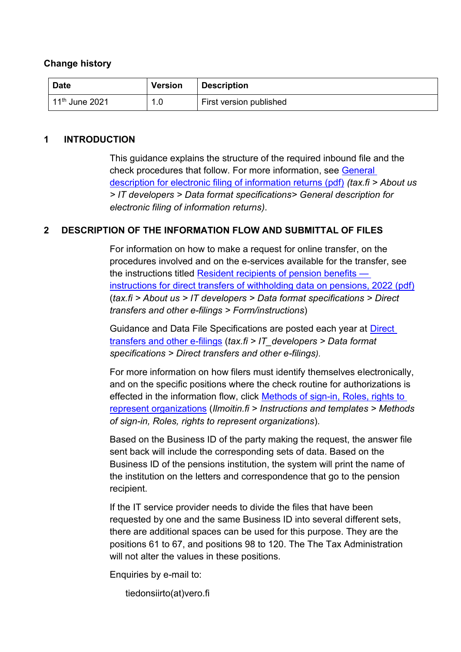#### **Change history**

| Date                       | <b>Version</b> | <b>Description</b>      |
|----------------------------|----------------|-------------------------|
| 11 <sup>th</sup> June 2021 | 1.0            | First version published |

#### <span id="page-2-0"></span>**1 INTRODUCTION**

This guidance explains the structure of the required inbound file and the check procedures that follow. For more information, see [General](https://www.vero.fi/contentassets/38c6e70f10b342cdba4716e904c3edbf/sahkoisen-ilmoittamisen-yleiskuvaus_6.4versio_engl.pdf)  [description for electronic filing of information returns \(pdf\)](https://www.vero.fi/contentassets/38c6e70f10b342cdba4716e904c3edbf/sahkoisen-ilmoittamisen-yleiskuvaus_6.4versio_engl.pdf) *(tax.fi > About us > IT developers > Data format specifications> General description for electronic filing of information returns)*.

## <span id="page-2-1"></span>**2 DESCRIPTION OF THE INFORMATION FLOW AND SUBMITTAL OF FILES**

For information on how to make a request for online transfer, on the procedures involved and on the e-services available for the transfer, see the instructions titled [Resident recipients of pension benefits](https://www.vero.fi/contentassets/4be5ede7345a4b32a394d7a230ae807c/finnish-tax-administration-finnish-resident-recipients-of-pension-benefits--instructions-for-direct-online-transfers-of-withholding-data-preassessment-year-2022.pdf)  [instructions for direct transfers of withholding data on pensions, 2022 \(pdf\)](https://www.vero.fi/contentassets/4be5ede7345a4b32a394d7a230ae807c/finnish-tax-administration-finnish-resident-recipients-of-pension-benefits--instructions-for-direct-online-transfers-of-withholding-data-preassessment-year-2022.pdf) (*tax.fi > About us > IT developers > Data format specifications > Direct transfers and other e-filings > Form/instructions*)

Guidance and Data File Specifications are posted each year at [Direct](https://www.vero.fi/en/About-us/it_developer/data-format-specifications/specifications__direct_data_transfers_a/)  [transfers and other e-filings](https://www.vero.fi/en/About-us/it_developer/data-format-specifications/specifications__direct_data_transfers_a/) (*tax.fi > IT\_developers > Data format specifications > [Direct transfers and other e-filings](https://www.vero.fi/en/About-us/it_developer/data-format-specifications/specifications__direct_data_transfers_a/)).*

For more information on how filers must identify themselves electronically, and on the specific positions where the check routine for authorizations is effected in the information flow, click [Methods of sign-in, Roles, rights to](https://www.ilmoitin.fi/webtamo/sivut/IlmoituslajiRoolit?kieli=en&tv=VKESSELE)  [represent organizations](https://www.ilmoitin.fi/webtamo/sivut/IlmoituslajiRoolit?kieli=en&tv=VKESSELE) (*[Ilmoitin.fi > Instructions and templates > Methods](https://www.ilmoitin.fi/webtamo/sivut/IlmoituslajiRoolit?tv=VSY02C)  [of sign-in, Roles, rights to represent organizations](https://www.ilmoitin.fi/webtamo/sivut/IlmoituslajiRoolit?tv=VSY02C)*).

Based on the Business ID of the party making the request, the answer file sent back will include the corresponding sets of data. Based on the Business ID of the pensions institution, the system will print the name of the institution on the letters and correspondence that go to the pension recipient.

If the IT service provider needs to divide the files that have been requested by one and the same Business ID into several different sets, there are additional spaces can be used for this purpose. They are the positions 61 to 67, and positions 98 to 120. The The Tax Administration will not alter the values in these positions.

Enquiries by e-mail to:

tiedonsiirto(at)vero.fi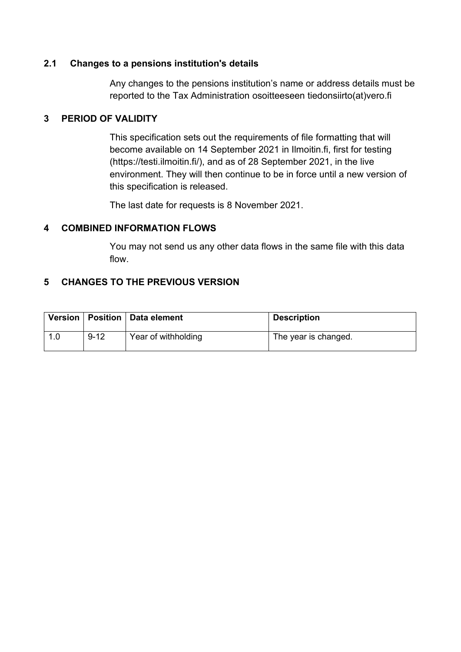## <span id="page-3-0"></span>**2.1 Changes to a pensions institution's details**

Any changes to the pensions institution's name or address details must be reported to the Tax Administration osoitteeseen tiedonsiirto(at)vero.fi

## <span id="page-3-1"></span>**3 PERIOD OF VALIDITY**

This specification sets out the requirements of file formatting that will become available on 14 September 2021 in Ilmoitin.fi, first for testing (https://testi.ilmoitin.fi/), and as of 28 September 2021, in the live environment. They will then continue to be in force until a new version of this specification is released.

The last date for requests is 8 November 2021.

## <span id="page-3-2"></span>**4 COMBINED INFORMATION FLOWS**

You may not send us any other data flows in the same file with this data flow.

## <span id="page-3-3"></span>**5 CHANGES TO THE PREVIOUS VERSION**

|     |          | Version   Position   Data element | <b>Description</b>   |
|-----|----------|-----------------------------------|----------------------|
| 1.0 | $9 - 12$ | Year of withholding               | The year is changed. |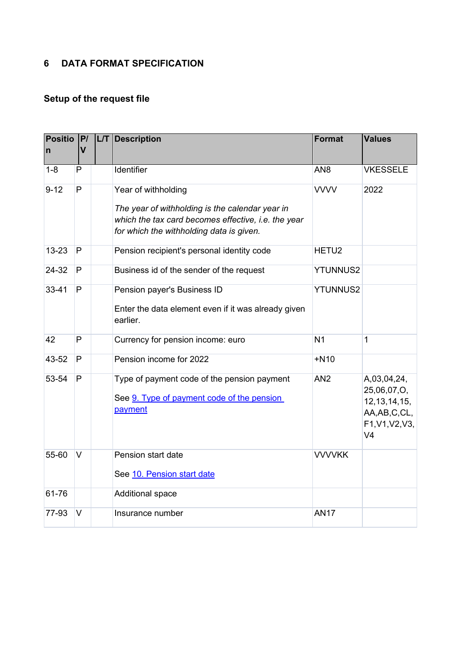## <span id="page-4-0"></span>**6 DATA FORMAT SPECIFICATION**

## **Setup of the request file**

| <b>Positio</b><br>$\mathsf{n}$ | P <br><b>V</b> | <b>L/T</b> Description                                                                                                                                                    | <b>Format</b>     | <b>Values</b>                                                                                        |
|--------------------------------|----------------|---------------------------------------------------------------------------------------------------------------------------------------------------------------------------|-------------------|------------------------------------------------------------------------------------------------------|
|                                |                |                                                                                                                                                                           |                   |                                                                                                      |
| $1 - 8$                        | P              | Identifier                                                                                                                                                                | AN <sub>8</sub>   | <b>VKESSELE</b>                                                                                      |
| $9 - 12$                       | P              | Year of withholding<br>The year of withholding is the calendar year in<br>which the tax card becomes effective, i.e. the year<br>for which the withholding data is given. | <b>VVVV</b>       | 2022                                                                                                 |
| $13 - 23$                      | $\mathsf{P}$   | Pension recipient's personal identity code                                                                                                                                | HETU <sub>2</sub> |                                                                                                      |
| 24-32                          | P              | Business id of the sender of the request                                                                                                                                  | <b>YTUNNUS2</b>   |                                                                                                      |
| $33 - 41$                      | P              | Pension payer's Business ID<br>Enter the data element even if it was already given<br>earlier.                                                                            | <b>YTUNNUS2</b>   |                                                                                                      |
| 42                             | P              | Currency for pension income: euro                                                                                                                                         | N <sub>1</sub>    | $\mathbf{1}$                                                                                         |
| 43-52                          | P              | Pension income for 2022                                                                                                                                                   | $+N10$            |                                                                                                      |
| 53-54                          | P              | Type of payment code of the pension payment<br>See 9. Type of payment code of the pension<br>payment                                                                      | AN <sub>2</sub>   | A,03,04,24,<br>25,06,07,O,<br>12, 13, 14, 15,<br>AA, AB, C, CL,<br>F1, V1, V2, V3,<br>V <sub>4</sub> |
| 55-60                          | V              | Pension start date<br>See 10. Pension start date                                                                                                                          | <b>VVVVKK</b>     |                                                                                                      |
| 61-76                          |                | Additional space                                                                                                                                                          |                   |                                                                                                      |
| 77-93                          | V              | Insurance number                                                                                                                                                          | <b>AN17</b>       |                                                                                                      |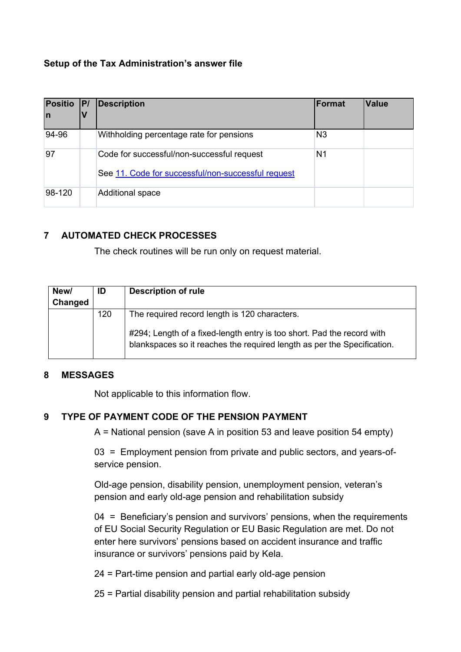## **Setup of the Tax Administration's answer file**

| <b>Positio</b><br>In | P | <b>Description</b>                                                                               | <b>Format</b>  | <b>Value</b> |
|----------------------|---|--------------------------------------------------------------------------------------------------|----------------|--------------|
| 94-96                |   | Withholding percentage rate for pensions                                                         | N <sub>3</sub> |              |
| 97                   |   | Code for successful/non-successful request<br>See 11. Code for successful/non-successful request | N1             |              |
| 98-120               |   | Additional space                                                                                 |                |              |

## <span id="page-5-0"></span>**7 AUTOMATED CHECK PROCESSES**

The check routines will be run only on request material.

| New/<br>Changed | ID  | <b>Description of rule</b>                                                                                                                                                                         |
|-----------------|-----|----------------------------------------------------------------------------------------------------------------------------------------------------------------------------------------------------|
|                 | 120 | The required record length is 120 characters.<br>#294; Length of a fixed-length entry is too short. Pad the record with<br>blankspaces so it reaches the required length as per the Specification. |

#### <span id="page-5-1"></span>**8 MESSAGES**

Not applicable to this information flow.

## <span id="page-5-2"></span>**9 TYPE OF PAYMENT CODE OF THE PENSION PAYMENT**

A = National pension (save A in position 53 and leave position 54 empty)

03 = Employment pension from private and public sectors, and years-ofservice pension.

Old-age pension, disability pension, unemployment pension, veteran's pension and early old-age pension and rehabilitation subsidy

04 = Beneficiary's pension and survivors' pensions, when the requirements of EU Social Security Regulation or EU Basic Regulation are met. Do not enter here survivors' pensions based on accident insurance and traffic insurance or survivors' pensions paid by Kela.

24 = Part-time pension and partial early old-age pension

25 = Partial disability pension and partial rehabilitation subsidy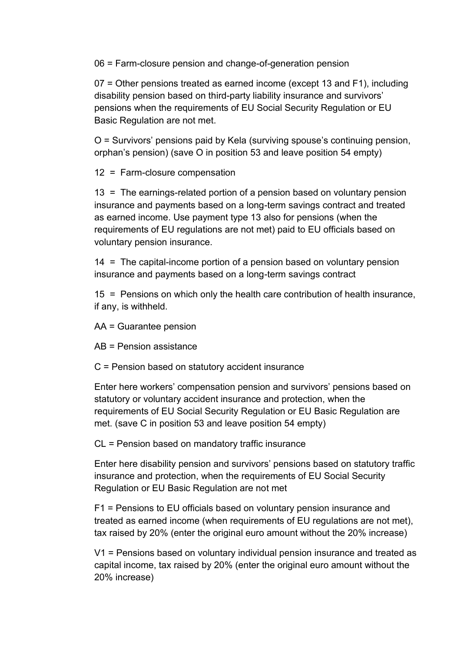06 = Farm-closure pension and change-of-generation pension

07 = Other pensions treated as earned income (except 13 and F1), including disability pension based on third-party liability insurance and survivors' pensions when the requirements of EU Social Security Regulation or EU Basic Regulation are not met.

O = Survivors' pensions paid by Kela (surviving spouse's continuing pension, orphan's pension) (save O in position 53 and leave position 54 empty)

12 = Farm-closure compensation

13 = The earnings-related portion of a pension based on voluntary pension insurance and payments based on a long-term savings contract and treated as earned income. Use payment type 13 also for pensions (when the requirements of EU regulations are not met) paid to EU officials based on voluntary pension insurance.

14 = The capital-income portion of a pension based on voluntary pension insurance and payments based on a long-term savings contract

15 = Pensions on which only the health care contribution of health insurance, if any, is withheld.

AA = Guarantee pension

AB = Pension assistance

C = Pension based on statutory accident insurance

Enter here workers' compensation pension and survivors' pensions based on statutory or voluntary accident insurance and protection, when the requirements of EU Social Security Regulation or EU Basic Regulation are met. (save C in position 53 and leave position 54 empty)

CL = Pension based on mandatory traffic insurance

Enter here disability pension and survivors' pensions based on statutory traffic insurance and protection, when the requirements of EU Social Security Regulation or EU Basic Regulation are not met

F1 = Pensions to EU officials based on voluntary pension insurance and treated as earned income (when requirements of EU regulations are not met), tax raised by 20% (enter the original euro amount without the 20% increase)

V1 = Pensions based on voluntary individual pension insurance and treated as capital income, tax raised by 20% (enter the original euro amount without the 20% increase)